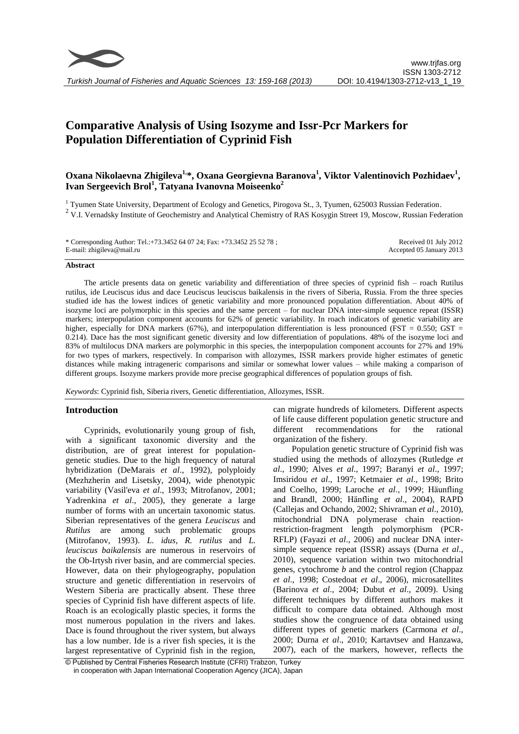

# **Comparative Analysis of Using Isozyme and Issr-Pcr Markers for Population Differentiation of Cyprinid Fish**

## **Oxana Nikolaevna Zhigileva1,\*, Oxana Georgievna Baranova<sup>1</sup> , Viktor Valentinovich Pozhidaev<sup>1</sup> , Ivan Sergeevich Brol<sup>1</sup> , Tatyana Ivanovna Moiseenko<sup>2</sup>**

<sup>1</sup> Tyumen State University, Department of Ecology and Genetics, Pirogova St., 3, Tyumen, 625003 Russian Federation.

<sup>2</sup> V.I. Vernadsky Institute of Geochemistry and Analytical Chemistry of RAS Kosygin Street 19, Moscow, Russian Federation

| * Corresponding Author: Tel.:+73.3452 64 07 24; Fax: +73.3452 25 52 78; | Received 01 July 2012    |
|-------------------------------------------------------------------------|--------------------------|
| E-mail: zhigileva@mail.ru                                               | Accepted 05 January 2013 |

#### **Abstract**

The article presents data on genetic variability and differentiation of three species of cyprinid fish – roach Rutilus rutilus, ide Leuciscus idus and dace Leuciscus leuciscus baikalensis in the rivers of Siberia, Russia. From the three species studied ide has the lowest indices of genetic variability and more pronounced population differentiation. About 40% of isozyme loci are polymorphic in this species and the same percent – for nuclear DNA inter-simple sequence repeat (ISSR) markers; interpopulation component accounts for 62% of genetic variability. In roach indicators of genetic variability are higher, especially for DNA markers (67%), and interpopulation differentiation is less pronounced (FST = 0.550; GST = 0.214). Dace has the most significant genetic diversity and low differentiation of populations. 48% of the isozyme loci and 83% of multilocus DNA markers are polymorphic in this species, the interpopulation component accounts for 27% and 19% for two types of markers, respectively. In comparison with allozymes, ISSR markers provide higher estimates of genetic distances while making intrageneric comparisons and similar or somewhat lower values – while making a comparison of different groups. Isozyme markers provide more precise geographical differences of population groups of fish.

*Keywords*: Cyprinid fish, Siberia rivers, Genetic differentiation, Allozymes, ISSR.

## **Introduction**

Cyprinids, evolutionarily young group of fish, with a significant taxonomic diversity and the distribution, are of great interest for populationgenetic studies. Due to the high frequency of natural hybridization (DeMarais *et al*., 1992), polyploidy (Mezhzherin and Lisetsky, 2004), wide phenotypic variability (Vasil'eva *et al*., 1993; Mitrofanov, 2001; Yadrenkina *et al*., 2005), they generate a large number of forms with an uncertain taxonomic status. Siberian representatives of the genera *Leuciscus* and *Rutilus* are among such problematic groups (Mitrofanov, 1993). *L. idus*, *R. rutilus* and *L. leuciscus baikalensis* are numerous in reservoirs of the Ob-Irtysh river basin, and are commercial species. However, data on their phylogeography, population structure and genetic differentiation in reservoirs of Western Siberia are practically absent. These three species of Cyprinid fish have different aspects of life. Roach is an ecologically plastic species, it forms the most numerous population in the rivers and lakes. Dace is found throughout the river system, but always has a low number. Ide is a river fish species, it is the largest representative of Cyprinid fish in the region,

can migrate hundreds of kilometers. Different aspects of life cause different population genetic structure and different recommendations for the rational organization of the fishery.

Population genetic structure of Cyprinid fish was studied using the methods of allozymes (Rutledge *et al*., 1990; Alves *et al*., 1997; Baranyi *et al*., 1997; Imsiridou *et al*., 1997; Ketmaier *et al*., 1998; Brito and Coelho, 1999; Laroche *et al*., 1999; Häunfling and Brandl, 2000; Hänfling *et al*., 2004), RAPD (Callejas and Ochando, 2002; Shivraman *et al*., 2010), mitochondrial DNA polymerase chain reactionrestriction-fragment length polymorphism (PCR-RFLP) (Fayazi *et al*., 2006) and nuclear DNA intersimple sequence repeat (ISSR) assays (Durna *et al*., 2010), sequence variation within two mitochondrial genes, cytochrome *b* and the control region (Chappaz *et al*., 1998; Costedoat *et al*., 2006), microsatellites (Barinova *et al*., 2004; Dubut *et al*., 2009). Using different techniques by different authors makes it difficult to compare data obtained. Although most studies show the congruence of data obtained using different types of genetic markers (Carmona *et al*., 2000; Durna *et al*., 2010; Kartavtsev and Hanzawa, 2007), each of the markers, however, reflects the

<sup>©</sup> Published by Central Fisheries Research Institute (CFRI) Trabzon, Turkey in cooperation with Japan International Cooperation Agency (JICA), Japan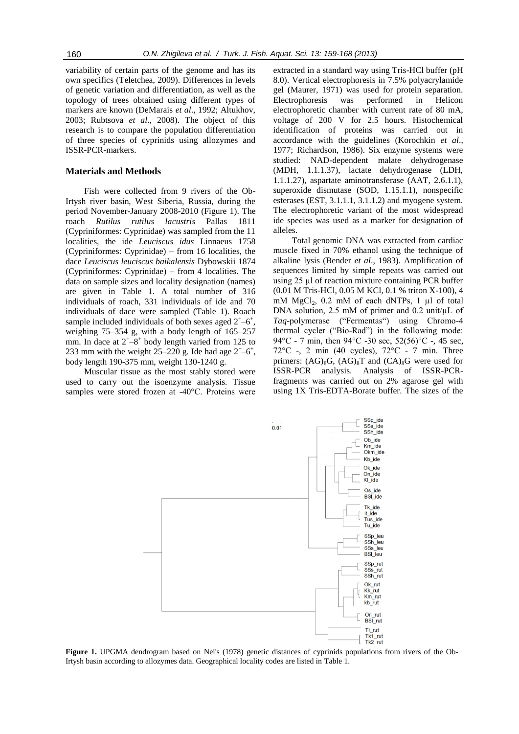variability of certain parts of the genome and has its own specifics (Teletchea, 2009). Differences in levels of genetic variation and differentiation, as well as the topology of trees obtained using different types of markers are known (DeMarais *et al*., 1992; Altukhov, 2003; Rubtsova *et al*., 2008). The object of this research is to compare the population differentiation of three species of cyprinids using allozymes and ISSR-PCR-markers.

## **Materials and Methods**

Fish were collected from 9 rivers of the Ob-Irtysh river basin, West Siberia, Russia, during the period November-January 2008-2010 (Figure 1). The roach *Rutilus rutilus lacustris* Pallas 1811 (Cypriniformes: Cyprinidae) was sampled from the 11 localities, the ide *Leuciscus idus* Linnaeus 1758 (Cypriniformes: Cyprinidae) – from 16 localities, the dace *Leuciscus leuciscus baikalensis* Dybowskii 1874 (Cypriniformes: Cyprinidae) – from 4 localities. The data on sample sizes and locality designation (names) are given in Table 1. A total number of 316 individuals of roach, 331 individuals of ide and 70 individuals of dace were sampled (Table 1). Roach sample included individuals of both sexes aged  $2^{\text{+}}-6^{\text{+}}$ , weighing 75–354 g, with a body length of 165–257 mm. In dace at  $2^{+}-8^{+}$  body length varied from 125 to 233 mm with the weight  $25-220$  g. Ide had age  $2^{\text{+}}-6^{\text{+}}$ , body length 190-375 mm, weight 130-1240 g.

Muscular tissue as the most stably stored were used to carry out the isoenzyme analysis. Tissue samples were stored frozen at -40°C. Proteins were

extracted in a standard way using Tris-HCl buffer (pH 8.0). Vertical electrophoresis in 7.5% polyacrylamide gel (Maurer, 1971) was used for protein separation. Electrophoresis was performed in Helicon electrophoretic chamber with current rate of 80 mA, voltage of 200 V for 2.5 hours. Histochemical identification of proteins was carried out in accordance with the guidelines (Korochkin *et al*., 1977; Richardson, 1986). Six enzyme systems were studied: NAD-dependent malate dehydrogenase (MDH, 1.1.1.37), lactate dehydrogenase (LDH, 1.1.1.27), aspartate aminotransferase (AAT, 2.6.1.1), superoxide dismutase (SOD, 1.15.1.1), nonspecific esterases (EST, 3.1.1.1, 3.1.1.2) and myogene system. The electrophoretic variant of the most widespread ide species was used as a marker for designation of alleles.

Total genomic DNA was extracted from cardiac muscle fixed in 70% ethanol using the technique of alkaline lysis (Bender *et al*., 1983). Amplification of sequences limited by simple repeats was carried out using 25 µl of reaction mixture containing PCR buffer (0.01 M Tris-НCl, 0.05 M KCl, 0.1 % triton X-100), 4 mM  $MgCl<sub>2</sub>$ , 0.2 mM of each dNTPs, 1 µl of total DNA solution, 2.5 mM of primer and 0.2 unit/uL of *Taq*-polymerase ("Fermentas") using Chromo-4 thermal cycler ("Bio-Rad") in the following mode: 94°C - 7 min, then 94°C -30 sec, 52(56)°C -, 45 sec, 72°C -, 2 min (40 cycles), 72°C - 7 min. Three primers:  $(AG)_{8}G$ ,  $(AG)_{8}T$  and  $(CA)_{8}G$  were used for ISSR-PCR analysis. Analysis of ISSR-PCRfragments was carried out on 2% agarose gel with using 1X Tris-EDTA-Borate buffer. The sizes of the



**Figure 1.** UPGMA dendrogram based on Nei's (1978) genetic distances of cyprinids populations from rivers of the Ob-Irtysh basin according to allozymes data. Geographical locality codes are listed in Table 1.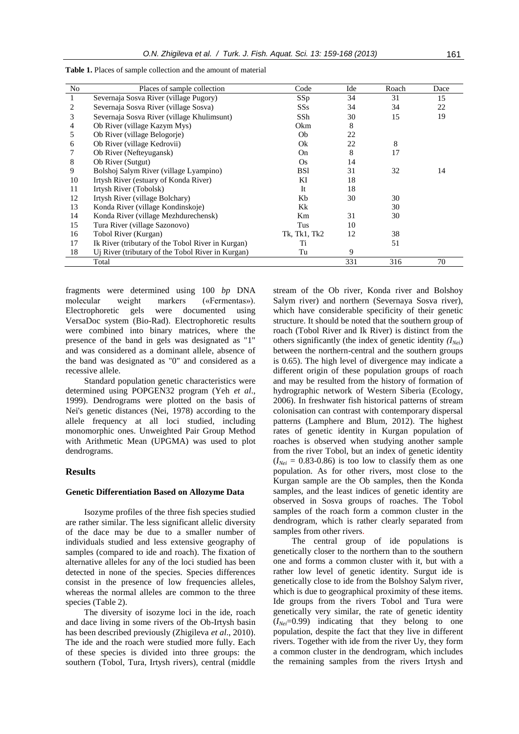| No | Places of sample collection                       | Code           | Ide | Roach | Dace |
|----|---------------------------------------------------|----------------|-----|-------|------|
| 1  | Severnaja Sosva River (village Pugory)            | SSp            | 34  | 31    | 15   |
| 2  | Severnaja Sosva River (village Sosva)             | SSs            | 34  | 34    | 22   |
| 3  | Severnaja Sosva River (village Khulimsunt)        | SSh            | 30  | 15    | 19   |
| 4  | Ob River (village Kazym Mys)                      | Okm            | 8   |       |      |
| 5  | Ob River (village Belogorje)                      | Ob             | 22  |       |      |
| 6  | Ob River (village Kedrovii)                       | Ok             | 22  | 8     |      |
|    | Ob River (Nefteyugansk)                           | O <sub>n</sub> | 8   | 17    |      |
| 8  | Ob River (Sutgut)                                 | Os.            | 14  |       |      |
| 9  | Bolshoj Salym River (village Lyampino)            | <b>BSI</b>     | 31  | 32    | 14   |
| 10 | Irtysh River (estuary of Konda River)             | KI             | 18  |       |      |
| 11 | Irtysh River (Tobolsk)                            | Tt.            | 18  |       |      |
| 12 | Irtysh River (village Bolchary)                   | Kb             | 30  | 30    |      |
| 13 | Konda River (village Kondinskoje)                 | Kk             |     | 30    |      |
| 14 | Konda River (village Mezhdurechensk)              | Km             | 31  | 30    |      |
| 15 | Tura River (village Sazonovo)                     | Tus            | 10  |       |      |
| 16 | Tobol River (Kurgan)                              | Tk, Tk1, Tk2   | 12  | 38    |      |
| 17 | Ik River (tributary of the Tobol River in Kurgan) | Ti             |     | 51    |      |
| 18 | Uj River (tributary of the Tobol River in Kurgan) | Tu             | 9   |       |      |
|    | Total                                             |                | 331 | 316   | 70   |

**Table 1.** Places of sample collection and the amount of material

fragments were determined using 100 *bp* DNA molecular weight markers («Fermentas»). Electrophoretic gels were documented using VersaDoc system (Bio-Rad). Electrophoretic results were combined into binary matrices, where the presence of the band in gels was designated as "1" and was considered as a dominant allele, absence of the band was designated as "0" and considered as a recessive allele.

Standard population genetic characteristics were determined using POPGEN32 program (Yeh *et al*., 1999). Dendrograms were plotted on the basis of Nei's genetic distances (Nei, 1978) according to the allele frequency at all loci studied, including monomorphic ones. Unweighted Pair Group Method with Arithmetic Mean (UPGMA) was used to plot dendrograms.

#### **Results**

#### **Genetic Differentiation Based on Allozyme Data**

Isozyme profiles of the three fish species studied are rather similar. The less significant allelic diversity of the dace may be due to a smaller number of individuals studied and less extensive geography of samples (compared to ide and roach). The fixation of alternative alleles for any of the loci studied has been detected in none of the species. Species differences consist in the presence of low frequencies alleles, whereas the normal alleles are common to the three species (Table 2).

The diversity of isozyme loci in the ide, roach and dace living in some rivers of the Ob-Irtysh basin has been described previously (Zhigileva *et al*., 2010). The ide and the roach were studied more fully. Each of these species is divided into three groups: the southern (Tobol, Tura, Irtysh rivers), central (middle

stream of the Ob river, Konda river and Bolshoy Salym river) and northern (Severnaya Sosva river), which have considerable specificity of their genetic structure. It should be noted that the southern group of roach (Tobol River and Ik River) is distinct from the others significantly (the index of genetic identity *(INei*) between the northern-central and the southern groups is 0.65). The high level of divergence may indicate a different origin of these population groups of roach and may be resulted from the history of formation of hydrographic network of Western Siberia (Ecology, 2006). In freshwater fish historical patterns of stream colonisation can contrast with contemporary dispersal patterns (Lamphere and Blum, 2012). The highest rates of genetic identity in Kurgan population of roaches is observed when studying another sample from the river Tobol, but an index of genetic identity  $(I<sub>Nei</sub> = 0.83{\text -}0.86)$  is too low to classify them as one population. As for other rivers, most close to the Kurgan sample are the Ob samples, then the Konda samples, and the least indices of genetic identity are observed in Sosva groups of roaches. The Tobol samples of the roach form a common cluster in the dendrogram, which is rather clearly separated from samples from other rivers.

The central group of ide populations is genetically closer to the northern than to the southern one and forms a common cluster with it, but with a rather low level of genetic identity. Surgut ide is genetically close to ide from the Bolshoy Salym river, which is due to geographical proximity of these items. Ide groups from the rivers Tobol and Tura were genetically very similar, the rate of genetic identity (*INei*=0.99) indicating that they belong to one population, despite the fact that they live in different rivers. Together with ide from the river Uy, they form a common cluster in the dendrogram, which includes the remaining samples from the rivers Irtysh and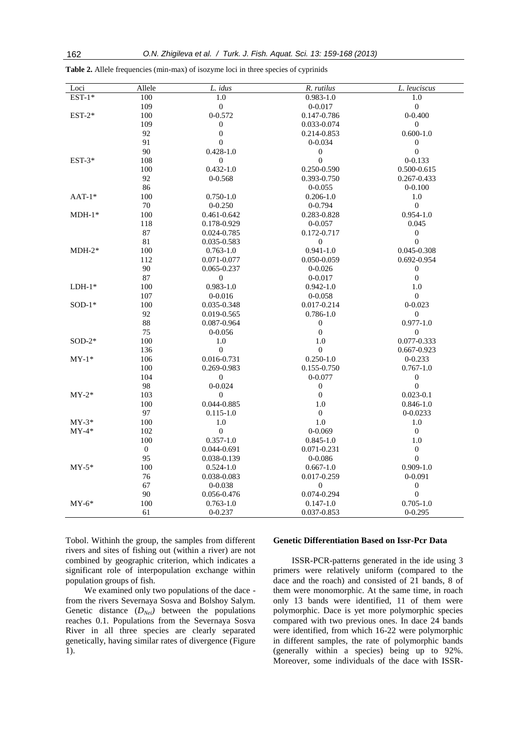| Loci     | Allele           | L. idus          | R. rutilus       | L. leuciscus     |
|----------|------------------|------------------|------------------|------------------|
| $EST-1*$ | 100              | $\overline{1.0}$ | $0.983 - 1.0$    | $\overline{1.0}$ |
|          | 109              | $\boldsymbol{0}$ | $0 - 0.017$      | $\boldsymbol{0}$ |
| $EST-2*$ | 100              | $0 - 0.572$      | 0.147-0.786      | $0 - 0.400$      |
|          | 109              | $\mathbf{0}$     | 0.033-0.074      | $\overline{0}$   |
|          | 92               | $\boldsymbol{0}$ | 0.214-0.853      | $0.600 - 1.0$    |
|          | 91               | $\theta$         | $0 - 0.034$      | $\boldsymbol{0}$ |
|          | 90               | $0.428 - 1.0$    | $\boldsymbol{0}$ | $\boldsymbol{0}$ |
| $EST-3*$ | 108              | $\mathbf{0}$     | $\overline{0}$   | $0 - 0.133$      |
|          | 100              | $0.432 - 1.0$    | 0.250-0.590      | 0.500-0.615      |
|          | 92               | $0 - 0.568$      | 0.393-0.750      | 0.267-0.433      |
|          | 86               |                  | $0 - 0.055$      | $0 - 0.100$      |
| $AAT-1*$ | 100              | $0.750 - 1.0$    | $0.206 - 1.0$    | 1.0              |
|          | 70               | $0 - 0.250$      | $0 - 0.794$      | $\mathbf{0}$     |
| $MDH-1*$ | 100              | 0.461-0.642      | 0.283-0.828      | $0.954 - 1.0$    |
|          | 118              | 0.178-0.929      | $0 - 0.057$      | 0.045            |
|          | 87               | 0.024-0.785      | 0.172-0.717      | $\boldsymbol{0}$ |
|          | 81               | 0.035-0.583      | $\mathbf{0}$     | $\overline{0}$   |
| $MDH-2*$ | 100              | $0.763 - 1.0$    | $0.941 - 1.0$    | 0.045-0.308      |
|          | 112              | 0.071-0.077      | 0.050-0.059      | 0.692-0.954      |
|          | 90               | 0.065-0.237      | $0 - 0.026$      | $\mathbf{0}$     |
|          | 87               | $\mathbf{0}$     | $0 - 0.017$      | $\boldsymbol{0}$ |
| $LDH-1*$ | 100              | $0.983 - 1.0$    | $0.942 - 1.0$    | 1.0              |
|          | 107              | $0 - 0.016$      | $0 - 0.058$      | $\mathbf{0}$     |
| $SOD-1*$ | 100              | 0.035-0.348      | 0.017-0.214      | $0 - 0.023$      |
|          | 92               | 0.019-0.565      | $0.786 - 1.0$    | $\boldsymbol{0}$ |
|          | 88               | 0.087-0.964      | $\mathbf{0}$     | $0.977 - 1.0$    |
|          | 75               | $0 - 0.056$      | $\boldsymbol{0}$ | $\overline{0}$   |
| $SOD-2*$ | 100              | 1.0              | 1.0              | 0.077-0.333      |
|          | 136              | $\mathbf{0}$     | $\mathbf{0}$     | $0.667 - 0.923$  |
| $MY-1*$  | 106              | 0.016-0.731      | $0.250 - 1.0$    | $0 - 0.233$      |
|          | 100              | 0.269-0.983      | 0.155-0.750      | $0.767 - 1.0$    |
|          | 104              | $\mathbf{0}$     | $0 - 0.077$      | $\boldsymbol{0}$ |
|          | 98               | $0 - 0.024$      | $\boldsymbol{0}$ | $\overline{0}$   |
| $MY-2*$  | 103              | $\mathbf{0}$     | $\mathbf{0}$     | $0.023 - 0.1$    |
|          | 100              | 0.044-0.885      | 1.0              | $0.846 - 1.0$    |
|          | 97               | $0.115 - 1.0$    | $\boldsymbol{0}$ | $0 - 0.0233$     |
| $MY-3*$  | 100              | 1.0              | 1.0              | 1.0              |
| $MY-4*$  | 102              | $\mathbf{0}$     | $0 - 0.069$      | $\mathbf{0}$     |
|          | 100              | $0.357 - 1.0$    | $0.845 - 1.0$    | 1.0              |
|          | $\boldsymbol{0}$ | 0.044-0.691      | 0.071-0.231      | $\mathbf{0}$     |
|          | 95               | 0.038-0.139      | $0 - 0.086$      | $\theta$         |
| $MY-5*$  | 100              | $0.524 - 1.0$    | $0.667 - 1.0$    | $0.909 - 1.0$    |
|          | 76               | 0.038-0.083      | 0.017-0.259      | $0 - 0.091$      |
|          | 67               | $0 - 0.038$      | $\overline{0}$   | $\boldsymbol{0}$ |
|          | 90               | 0.056-0.476      | 0.074-0.294      | $\boldsymbol{0}$ |
| $MY-6*$  | 100              | $0.763 - 1.0$    | $0.147 - 1.0$    | $0.705 - 1.0$    |
|          | 61               | $0 - 0.237$      | 0.037-0.853      | $0 - 0.295$      |

**Table 2.** Allele frequencies (min-max) of isozyme loci in three species of cyprinids

Tobol. Withinh the group, the samples from different rivers and sites of fishing out (within a river) are not combined by geographic criterion, which indicates a significant role of interpopulation exchange within population groups of fish.

We examined only two populations of the dace from the rivers Severnaya Sosva and Bolshoy Salym. Genetic distance  $(D_{Nei})$  between the populations reaches 0.1. Populations from the Severnaya Sosva River in all three species are clearly separated genetically, having similar rates of divergence (Figure 1).

#### **Genetic Differentiation Based on Issr-Pcr Data**

ISSR-PCR-patterns generated in the ide using 3 primers were relatively uniform (compared to the dace and the roach) and consisted of 21 bands, 8 of them were monomorphic. At the same time, in roach only 13 bands were identified, 11 of them were polymorphic. Dace is yet more polymorphic species compared with two previous ones. In dace 24 bands were identified, from which 16-22 were polymorphic in different samples, the rate of polymorphic bands (generally within a species) being up to 92%. Moreover, some individuals of the dace with ISSR-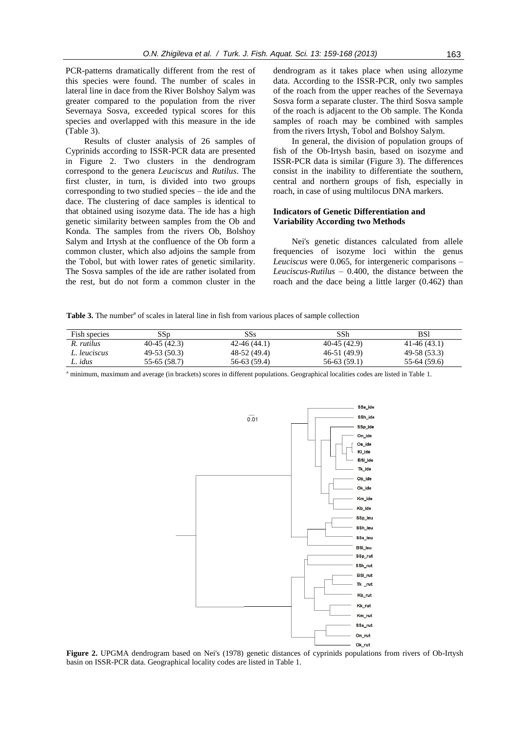PCR-patterns dramatically different from the rest of this species were found. The number of scales in lateral line in dace from the River Bolshoy Salym was greater compared to the population from the river Severnaya Sosva, exceeded typical scores for this species and overlapped with this measure in the ide (Table 3).

Results of cluster analysis of 26 samples of Cyprinids according to ISSR-PCR data are presented in Figure 2. Two clusters in the dendrogram correspond to the genera *Leuciscus* and *Rutilus*. The first cluster, in turn, is divided into two groups corresponding to two studied species – the ide and the dace. The clustering of dace samples is identical to that obtained using isozyme data. The ide has a high genetic similarity between samples from the Ob and Konda. The samples from the rivers Ob, Bolshoy Salym and Irtysh at the confluence of the Ob form a common cluster, which also adjoins the sample from the Tobol, but with lower rates of genetic similarity. The Sosva samples of the ide are rather isolated from the rest, but do not form a common cluster in the dendrogram as it takes place when using allozyme data. According to the ISSR-PCR, only two samples of the roach from the upper reaches of the Severnaya Sosva form a separate cluster. The third Sosva sample of the roach is adjacent to the Ob sample. The Konda samples of roach may be combined with samples from the rivers Irtysh, Tobol and Bolshoy Salym.

In general, the division of population groups of fish of the Ob-Irtysh basin, based on isozyme and ISSR-PCR data is similar (Figure 3). The differences consist in the inability to differentiate the southern, central and northern groups of fish, especially in roach, in case of using multilocus DNA markers.

#### **Indicators of Genetic Differentiation and Variability According two Methods**

Nei's genetic distances calculated from allele frequencies of isozyme loci within the genus *Leuciscus* were 0.065, for intergeneric comparisons – *Leuciscus-Rutilus* – 0.400, the distance between the roach and the dace being a little larger (0.462) than

Table 3. The number<sup>a</sup> of scales in lateral line in fish from various places of sample collection

| Fish species | $_{\rm SSD}$  | SSs           | SSh           | BSl           |
|--------------|---------------|---------------|---------------|---------------|
| R. rutilus   | $40-45(42.3)$ | $42-46(44.1)$ | $40-45(42.9)$ | $41-46(43.1)$ |
| L. leuciscus | $49-53(50.3)$ | 48-52 (49.4)  | 46-51 (49.9)  | 49-58 (53.3)  |
| L. idus      | 55-65 (58.7)  | 56-63 (59.4)  | $56-63(59.1)$ | $55-64(59.6)$ |

<sup>a</sup> minimum, maximum and average (in brackets) scores in different populations. Geographical localities codes are listed in Table 1.



**Figure 2.** UPGMA dendrogram based on Nei's (1978) genetic distances of cyprinids populations from rivers of Ob-Irtysh basin on ISSR-PCR data. Geographical locality codes are listed in Table 1.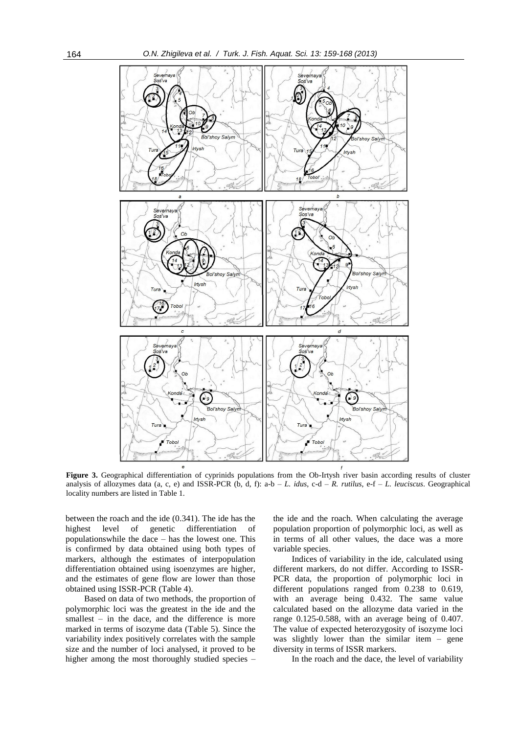

**Figure 3.** Geographical differentiation of cyprinids populations from the Ob-Irtysh river basin according results of cluster analysis of allozymes data (a, c, e) and ISSR-PCR (b, d, f): a-b – *L. idus*, c-d – *R. rutilus*, e-f – *L. leuciscus*. Geographical locality numbers are listed in Table 1.

between the roach and the ide (0.341). The ide has the highest level of genetic differentiation of populationswhile the dace – has the lowest one. This is confirmed by data obtained using both types of markers, although the estimates of interpopulation differentiation obtained using isoenzymes are higher, and the estimates of gene flow are lower than those obtained using ISSR-PCR (Table 4).

Based on data of two methods, the proportion of polymorphic loci was the greatest in the ide and the smallest  $-$  in the dace, and the difference is more marked in terms of isozyme data (Table 5). Since the variability index positively correlates with the sample size and the number of loci analysed, it proved to be higher among the most thoroughly studied species –

the ide and the roach. When calculating the average population proportion of polymorphic loci, as well as in terms of all other values, the dace was a more variable species.

Indices of variability in the ide, calculated using different markers, do not differ. According to ISSR-PCR data, the proportion of polymorphic loci in different populations ranged from 0.238 to 0.619, with an average being 0.432. The same value calculated based on the allozyme data varied in the range 0.125-0.588, with an average being of 0.407. The value of expected heterozygosity of isozyme loci was slightly lower than the similar item – gene diversity in terms of ISSR markers.

In the roach and the dace, the level of variability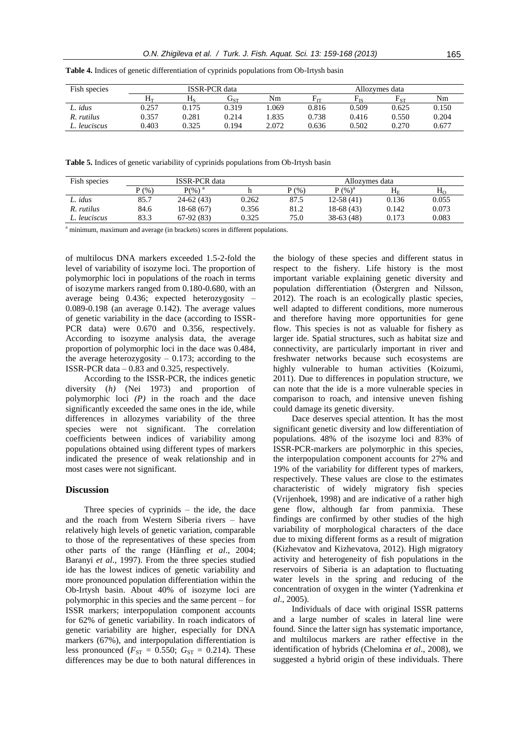| Fish species | <b>ISSR-PCR</b> data           |       |                            |       | Allozymes data   |          |          |       |
|--------------|--------------------------------|-------|----------------------------|-------|------------------|----------|----------|-------|
|              | $\rm H_{\scriptscriptstyle T}$ | Нç    | $\mathbf{J}_{\textrm{ST}}$ | Nm    | $\rm E_{\rm IT}$ | $F_{IS}$ | $F_{ST}$ | Nm    |
| L. idus      | 0.257                          | 0.175 | 0.319                      | .069  | 0.816            | 0.509    | 0.625    | 0.150 |
| R. rutilus   | 0.357                          | 0.281 | 0.214                      | .835  | 0.738            | 0.416    | 0.550    | 0.204 |
| L. leuciscus | 0.403                          | 0.325 | 0.194                      | 2.072 | 0.636            | 0.502    | 0.270    | 0.677 |

**Table 4.** Indices of genetic differentiation of cyprinids populations from Ob-Irtysh basin

**Table 5.** Indices of genetic variability of cyprinids populations from Ob-Irtysh basin

| Fish species | <b>ISSR-PCR</b> data |             |       | Allozymes data |                      |         |              |
|--------------|----------------------|-------------|-------|----------------|----------------------|---------|--------------|
|              | (96)                 | $P(\%)^a$   |       | P(%)           | $P($ %) <sup>a</sup> | $H_{E}$ | $H_{\Omega}$ |
| L. idus      | 85.7                 | 24-62 (43)  | 0.262 | 87.5           | $12 - 58(41)$        | 0.136   | 0.055        |
| R. rutilus   | 84.6                 | 18-68 (67)  | 0.356 | 81.2           | 18-68 (43)           | 0.142   | 0.073        |
| L. leuciscus | 83.3                 | $67-92(83)$ | 0.325 | 75.0           | $38-63(48)$          | 0.173   | 0.083        |

<sup>a</sup> minimum, maximum and average (in brackets) scores in different populations.

of multilocus DNA markers exceeded 1.5-2-fold the level of variability of isozyme loci. The proportion of polymorphic loci in populations of the roach in terms of isozyme markers ranged from 0.180-0.680, with an average being 0.436; expected heterozygosity – 0.089-0.198 (an average 0.142). The average values of genetic variability in the dace (according to ISSR-PCR data) were 0.670 and 0.356, respectively. According to isozyme analysis data, the average proportion of polymorphic loci in the dace was 0.484, the average heterozygosity  $-0.173$ ; according to the ISSR-PCR data – 0.83 and 0.325, respectively.

According to the ISSR-PCR, the indices genetic diversity (*h)* (Nei 1973) and proportion of polymorphic loci *(P)* in the roach and the dace significantly exceeded the same ones in the ide, while differences in allozymes variability of the three species were not significant. The correlation coefficients between indices of variability among populations obtained using different types of markers indicated the presence of weak relationship and in most cases were not significant.

#### **Discussion**

Three species of cyprinids – the ide, the dace and the roach from Western Siberia rivers – have relatively high levels of genetic variation, comparable to those of the representatives of these species from other parts of the range (Hänfling *et al*., 2004; Baranyi *et al*., 1997). From the three species studied ide has the lowest indices of genetic variability and more pronounced population differentiation within the Ob-Irtysh basin. About 40% of isozyme loci are polymorphic in this species and the same percent – for ISSR markers; interpopulation component accounts for 62% of genetic variability. In roach indicators of genetic variability are higher, especially for DNA markers (67%), and interpopulation differentiation is less pronounced ( $F_{ST} = 0.550$ ;  $G_{ST} = 0.214$ ). These differences may be due to both natural differences in

the biology of these species and different status in respect to the fishery. Life history is the most important variable explaining genetic diversity and population differentiation (Östergren and Nilsson, 2012). The roach is an ecologically plastic species, well adapted to different conditions, more numerous and therefore having more opportunities for gene flow. This species is not as valuable for fishery as larger ide. Spatial structures, such as habitat size and connectivity, are particularly important in river and freshwater networks because such ecosystems are highly vulnerable to human activities (Koizumi, 2011). Due to differences in population structure, we can note that the ide is a more vulnerable species in comparison to roach, and intensive uneven fishing could damage its genetic diversity.

Dace deserves special attention. It has the most significant genetic diversity and low differentiation of populations. 48% of the isozyme loci and 83% of ISSR-PCR-markers are polymorphic in this species, the interpopulation component accounts for 27% and 19% of the variability for different types of markers, respectively. These values are close to the estimates characteristic of widely migratory fish species (Vrijenhoek, 1998) and are indicative of a rather high gene flow, although far from panmixia. These findings are confirmed by other studies of the high variability of morphological characters of the dace due to mixing different forms as a result of migration (Kizhevatov and Kizhevatova, 2012). High migratory activity and heterogeneity of fish populations in the reservoirs of Siberia is an adaptation to fluctuating water levels in the spring and reducing of the concentration of oxygen in the winter (Yadrenkina *et al*., 2005).

Individuals of dace with original ISSR patterns and a large number of scales in lateral line were found. Since the latter sign has systematic importance, and multilocus markers are rather effective in the identification of hybrids (Chelomina *et al*., 2008), we suggested a hybrid origin of these individuals. There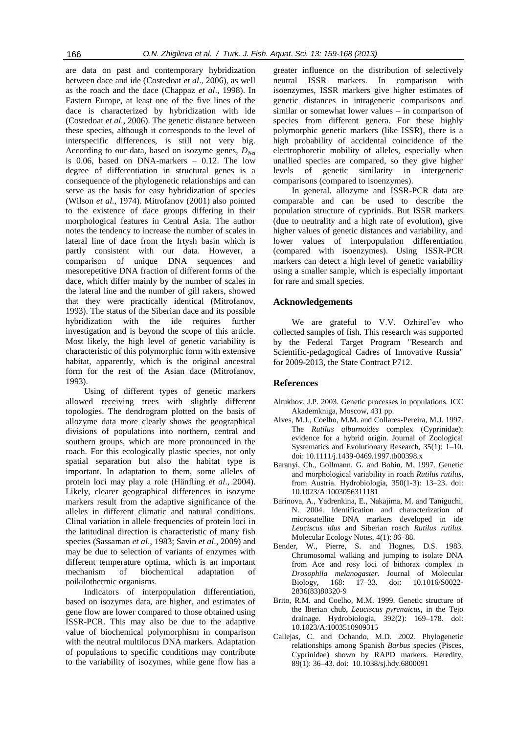are data on past and contemporary hybridization between dace and ide (Costedoat *et al*., 2006), as well as the roach and the dace (Chappaz *et al*., 1998). In Eastern Europe, at least one of the five lines of the dace is characterized by hybridization with ide (Costedoat *et al*., 2006). The genetic distance between these species, although it corresponds to the level of interspecific differences, is still not very big. According to our data, based on isozyme genes, *DNei* is 0.06, based on DNA-markers – 0.12. The low degree of differentiation in structural genes is a consequence of the phylogenetic relationships and can serve as the basis for easy hybridization of species (Wilson *et al*., 1974). Mitrofanov (2001) also pointed to the existence of dace groups differing in their morphological features in Central Asia. The author notes the tendency to increase the number of scales in lateral line of dace from the Irtysh basin which is partly consistent with our data. However, a comparison of unique DNA sequences and mesorepetitive DNA fraction of different forms of the dace, which differ mainly by the number of scales in the lateral line and the number of gill rakers, showed that they were practically identical (Mitrofanov, 1993). The status of the Siberian dace and its possible hybridization with the ide requires further investigation and is beyond the scope of this article. Most likely, the high level of genetic variability is characteristic of this polymorphic form with extensive habitat, apparently, which is the original ancestral form for the rest of the Asian dace (Mitrofanov, 1993).

Using of different types of genetic markers allowed receiving trees with slightly different topologies. The dendrogram plotted on the basis of allozyme data more clearly shows the geographical divisions of populations into northern, central and southern groups, which are more pronounced in the roach. For this ecologically plastic species, not only spatial separation but also the habitat type is important. In adaptation to them, some alleles of protein loci may play a role (Hänfling *et al*., 2004). Likely, clearer geographical differences in isozyme markers result from the adaptive significance of the alleles in different climatic and natural conditions. Clinal variation in allele frequencies of protein loci in the latitudinal direction is characteristic of many fish species (Sassaman *et al*., 1983; Savin *et al*., 2009) and may be due to selection of variants of enzymes with different temperature optima, which is an important mechanism of biochemical adaptation of poikilothermic organisms.

Indicators of interpopulation differentiation, based on isozymes data, are higher, and estimates of gene flow are lower compared to those obtained using ISSR-PCR. This may also be due to the adaptive value of biochemical polymorphism in comparison with the neutral multilocus DNA markers. Adaptation of populations to specific conditions may contribute to the variability of isozymes, while gene flow has a

greater influence on the distribution of selectively neutral ISSR markers. In comparison with isoenzymes, ISSR markers give higher estimates of genetic distances in intrageneric comparisons and similar or somewhat lower values – in comparison of species from different genera. For these highly polymorphic genetic markers (like ISSR), there is a high probability of accidental coincidence of the electrophoretic mobility of alleles, especially when unallied species are compared, so they give higher levels of genetic similarity in intergeneric comparisons (compared to isoenzymes).

In general, allozyme and ISSR-PCR data are comparable and can be used to describe the population structure of cyprinids. But ISSR markers (due to neutrality and a high rate of evolution), give higher values of genetic distances and variability, and lower values of interpopulation differentiation (compared with isoenzymes). Using ISSR-PCR markers can detect a high level of genetic variability using a smaller sample, which is especially important for rare and small species.

## **Acknowledgements**

We are grateful to V.V. Ozhirel'ev who collected samples of fish. This research was supported by the Federal Target Program "Research and Scientific-pedagogical Cadres of Innovative Russia" for 2009-2013, the State Contract P712.

#### **References**

- Altukhov, J.P. 2003. Genetic processes in populations. ICC Akademkniga, Moscow, 431 pp.
- Alves, M.J., Coelho, M.M. and Collares-Pereira, M.J. 1997. The *Rutilus alburnoides* complex (Cyprinidae): evidence for a hybrid origin. Journal of Zoological Systematics and Evolutionary Research, 35(1): 1–10. doi: 10.1111/j.1439-0469.1997.tb00398.x
- Baranyi, Ch., Gollmann, G. and Bobin, M. 1997. Genetic and morphological variability in roach *Rutilus rutilus*, from Austria. Hydrobiologia, 350(1-3): 13–23. doi: 10.1023/A:1003056311181
- Barinova, A., Yadrenkina, E., Nakajima, M. and Taniguchi, N. 2004. Identification and characterization of microsatellite DNA markers developed in ide *Leuciscus idus* and Siberian roach *Rutilus rutilus.* Molecular Ecology Notes, 4(1): 86–88.
- Bender, W., Pierre, S. and Hognes, D.S. 1983. Chromosomal walking and jumping to isolate DNA from Ace and rosy loci of bithorax complex in *Drosophila melanogaster.* Journal of Molecular Biology, 168: 17–33. doi: 10.1016/S0022- 2836(83)80320-9
- Brito, R.M. and Coelho, M.M. 1999. Genetic structure of the Iberian chub, *Leuciscus pyrenaicus*, in the Tejo drainage. Hydrobiologia, 392(2): 169–178. doi: 10.1023/A:1003510909315
- Callejas, C. and Ochando, M.D. 2002. Phylogenetic relationships among Spanish *Barbus* species (Pisces, Cyprinidae) shown by RAPD markers. Heredity, 89(1): 36–43. doi: 10.1038/sj.hdy.6800091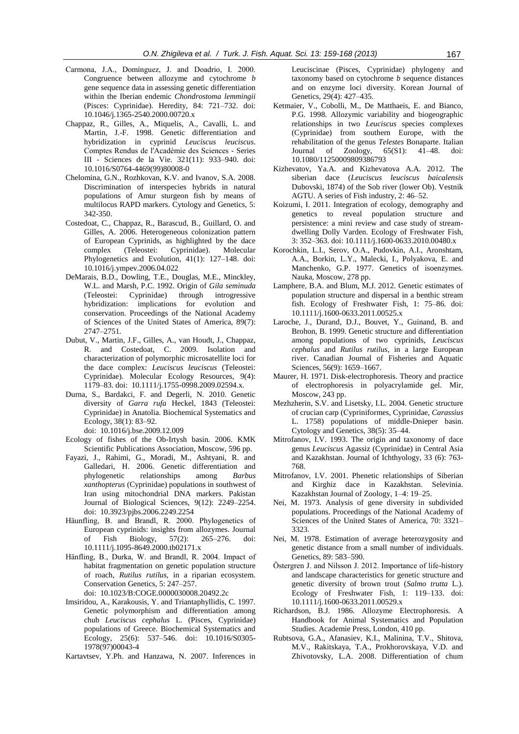- Carmona, J.A., Domínguez, J. and Doadrio, I. 2000. Congruence between allozyme and cytochrome *b* gene sequence data in assessing genetic differentiation within the Iberian endemic *Chondrostoma lemmingii* (Pisces: Cyprinidae). Heredity, 84: 721–732. doi: 10.1046/j.1365-2540.2000.00720.x
- Chappaz, R., Gilles, A., Miquelis, A., Cavalli, L. and Martin, J.-F. 1998. Genetic differentiation and hybridization in cyprinid *Leuciscus leuciscus*. Comptes Rendus de l'Académie des Sciences - Series III - Sciences de la Vie. 321(11): 933–940. doi: 10.1016/S0764-4469(99)80008-0
- Chelomina, G.N., Rozhkovan, K.V. and Ivanov, S.A. 2008. Discrimination of interspecies hybrids in natural populations of Amur sturgeon fish by means of multilocus RAPD markers. Cytology and Genetics, 5: 342-350.
- Costedoat, C., Chappaz, R., Barascud, B., Guillard, O. and Gilles, A. 2006. Heterogeneous colonization pattern of European Cyprinids, as highlighted by the dace complex (Teleostei: Cyprinidae). Molecular Phylogenetics and Evolution, 41(1): 127–148. doi: 10.1016/j.ympev.2006.04.022
- DeMarais, B.D., Dowling, T.E., Douglas, M.E., Minckley, W.L. and Marsh, P.C. 1992. Origin of *Gila seminuda* (Teleostei: Cyprinidae) through introgressive hybridization: implications for evolution and conservation. Proceedings of the National Academy of Sciences of the United States of America, 89(7): 2747–2751.
- Dubut, V., Martin, J.F., Gilles, A., van Houdt, J., Chappaz, R. and Costedoat, C. 2009. Isolation and characterization of polymorphic microsatellite loci for the dace complex: *Leuciscus leuciscus* (Teleostei: Cyprinidae). Molecular Ecology Resources, 9(4): 1179–83. doi: 10.1111/j.1755-0998.2009.02594.x.
- Durna, S., Bardakci, F. and Degerli, N. 2010. Genetic diversity of *Garra rufa* Heckel, 1843 (Teleostei: Cyprinidae) in Anatolia. Biochemical Systematics and Ecology, 38(1): 83–92.

doi: 10.1016/j.bse.2009.12.009

- Ecology of fishes of the Ob-Irtysh basin. 2006. KMK Scientific Publications Association, Moscow, 596 pp.
- Fayazi, J., Rahimi, G., Moradi, M., Ashtyani, R. and Galledari, H. 2006. Genetic differentiation and phylogenetic relationships among *Barbus xanthopterus* (Cyprinidae) populations in southwest of Iran using mitochondrial DNA markers. Pakistan Journal of Biological Sciences, 9(12): 2249–2254. doi: 10.3923/pjbs.2006.2249.2254
- Häunfling, B. and Brandl, R. 2000. Phylogenetics of European cyprinids: insights from allozymes. Journal of Fish Biology, 57(2): 265–276. doi: 10.1111/j.1095-8649.2000.tb02171.x
- Hänfling, B., Durka, W. and Brandl, R. 2004. Impact of habitat fragmentation on genetic population structure of roach, *Rutilus rutilus*, in a riparian ecosystem. Conservation Genetics, 5: 247–257. doi: 10.1023/B:COGE.0000030008.20492.2c
- Imsiridou, A., Karakousis, Y. and Triantaphyllidis, C. 1997.
- Genetic polymorphism and differentiation among chub *Leuciscus cephalus* L. (Pisces, Cyprinidae) populations of Greece. Biochemical Systematics and Ecology, 25(6): 537–546. doi: 10.1016/S0305- 1978(97)00043-4
- Kartavtsev, Y.Ph. and Hanzawa, N. 2007. Inferences in

Leuciscinae (Pisces, Cyprinidae) phylogeny and taxonomy based on cytochrome *b* sequence distances and on enzyme loci diversity. Korean Journal of Genetics, 29(4): 427–435.

- Ketmaier, V., Cobolli, M., De Matthaeis, E. and Bianco, P.G. 1998. Allozymic variability and biogeographic relationships in two *Leuciscus* species complexes (Cyprinidae) from southern Europe, with the rehabilitation of the genus *Telestes* Bonaparte. Italian Journal of Zoology, 65(S1): 41–48. doi: 10.1080/11250009809386793
- Kizhevatov, Ya.A. and Kizhevatova A.A. 2012. The siberian dace (*Leuciscus leuciscus baicalensis* Dubovski, 1874) of the Sob river (lower Ob). Vestnik AGTU. A series of Fish industry, 2: 46–52.
- Koizumi, I. 2011. Integration of ecology, demography and genetics to reveal population structure and persistence: a mini review and case study of streamdwelling Dolly Varden. Ecology of Freshwater Fish, 3: 352–363. doi: 10.1111/j.1600-0633.2010.00480.x
- Korochkin, L.I., Serov, O.A., Pudovkin, A.I., Aronshtam, A.A., Borkin, L.Y., Malecki, I., Polyakova, E. and Manchenko, G.P. 1977. Genetics of isoenzymes. Nauka, Moscow, 278 pp.
- Lamphere, B.A. and Blum, M.J. 2012. Genetic estimates of population structure and dispersal in a benthic stream fish. Ecology of Freshwater Fish, 1: 75–86. doi: 10.1111/j.1600-0633.2011.00525.x
- Laroche, J., Durand, D.J., Bouvet, Y., Guinand, B. and Brohon, B. 1999. Genetic structure and differentiation among populations of two cyprinids, *Leuciscus cephalus* and *Rutilus rutilus*, in a large European river. Canadian Journal of Fisheries and Aquatic Sciences, 56(9): 1659-1667.
- Maurer, H. 1971. Disk-electrophoresis. Theory and practice of electrophoresis in polyacrylamide gel. Mir, Moscow, 243 pp.
- Mezhzherin, S.V. and Lisetsky, I.L. 2004. Genetic structure of crucian carp (Сypriniformes, Cyprinidae, *Carassius* L. 1758) populations of middle-Dnieper basin. Cytology and Genetics, 38(5): 35–44.
- Mitrofanov, I.V. 1993. The origin and taxonomy of dace genus *Leuciscus* Agassiz (Cyprinidae) in Central Asia and Kazakhstan. Journal of Ichthyology, 33 (6): 763- 768.
- Mitrofanov, I.V. 2001. Phenetic relationships of Siberian and Kirghiz dace in Kazakhstan. Selevinia. Kazakhstan Journal of Zoology, 1–4: 19–25.
- Nei, M. 1973. Analysis of gene diversity in subdivided populations. Proceedings of the National Academy of Sciences of the United States of America, 70: 3321– 3323.
- Nei, M. 1978. Estimation of average heterozygosity and genetic distance from a small number of individuals. Genetics, 89: 583–590.
- Östergren J. and Nilsson J. 2012. Importance of life-history and landscape characteristics for genetic structure and genetic diversity of brown trout (*Salmo trutta* L.). Ecology of Freshwater Fish, 1: 119–133. doi: 10.1111/j.1600-0633.2011.00529.x
- Richardson, B.J. 1986. Allozyme Electrophoresis. A Handbook for Animal Systematics and Population Studies. Academie Press, London, 410 pp.
- Rubtsova, G.A., Afanasiev, K.I., Malinina, T.V., Shitova, M.V., Rakitskaya, T.A., Prokhorovskaya, V.D. and Zhivotovsky, L.A. 2008. Differentiation of chum